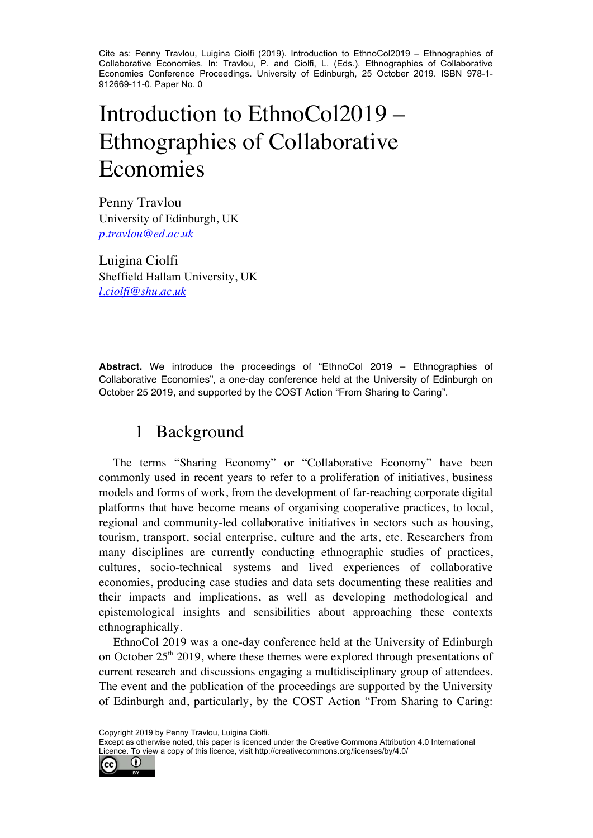Cite as: Penny Travlou, Luigina Ciolfi (2019). Introduction to EthnoCol2019 – Ethnographies of Collaborative Economies. In: Travlou, P. and Ciolfi, L. (Eds.). Ethnographies of Collaborative Economies Conference Proceedings. University of Edinburgh, 25 October 2019. ISBN 978-1- 912669-11-0. Paper No. 0

# Introduction to EthnoCol2019 – Ethnographies of Collaborative Economies

Penny Travlou University of Edinburgh, UK *p.travlou@ed.ac.uk*

Luigina Ciolfi Sheffield Hallam University, UK *l.ciolfi@shu.ac.uk*

**Abstract.** We introduce the proceedings of "EthnoCol 2019 – Ethnographies of Collaborative Economies", a one-day conference held at the University of Edinburgh on October 25 2019, and supported by the COST Action "From Sharing to Caring".

## 1 Background

The terms "Sharing Economy" or "Collaborative Economy" have been commonly used in recent years to refer to a proliferation of initiatives, business models and forms of work, from the development of far-reaching corporate digital platforms that have become means of organising cooperative practices, to local, regional and community-led collaborative initiatives in sectors such as housing, tourism, transport, social enterprise, culture and the arts, etc. Researchers from many disciplines are currently conducting ethnographic studies of practices, cultures, socio-technical systems and lived experiences of collaborative economies, producing case studies and data sets documenting these realities and their impacts and implications, as well as developing methodological and epistemological insights and sensibilities about approaching these contexts ethnographically.

EthnoCol 2019 was a one-day conference held at the University of Edinburgh on October  $25<sup>th</sup>$  2019, where these themes were explored through presentations of current research and discussions engaging a multidisciplinary group of attendees. The event and the publication of the proceedings are supported by the University of Edinburgh and, particularly, by the COST Action "From Sharing to Caring:

Copyright 2019 by Penny Travlou, Luigina Ciolfi.

Except as otherwise noted, this paper is licenced under the Creative Commons Attribution 4.0 International Licence. To view a copy of this licence, visit http://creativecommons.org/licenses/by/4.0/

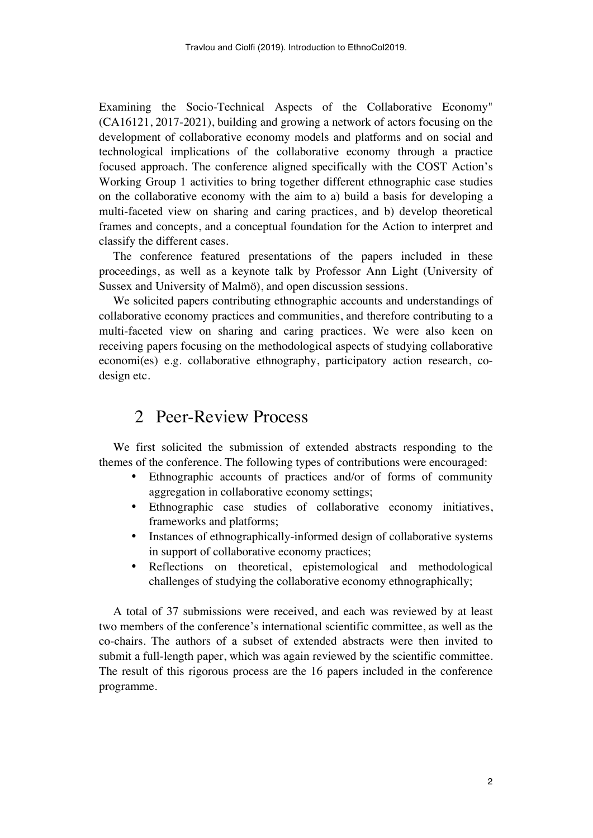Examining the Socio-Technical Aspects of the Collaborative Economy" (CA16121, 2017-2021), building and growing a network of actors focusing on the development of collaborative economy models and platforms and on social and technological implications of the collaborative economy through a practice focused approach. The conference aligned specifically with the COST Action's Working Group 1 activities to bring together different ethnographic case studies on the collaborative economy with the aim to a) build a basis for developing a multi-faceted view on sharing and caring practices, and b) develop theoretical frames and concepts, and a conceptual foundation for the Action to interpret and classify the different cases.

The conference featured presentations of the papers included in these proceedings, as well as a keynote talk by Professor Ann Light (University of Sussex and University of Malmö), and open discussion sessions.

We solicited papers contributing ethnographic accounts and understandings of collaborative economy practices and communities, and therefore contributing to a multi-faceted view on sharing and caring practices. We were also keen on receiving papers focusing on the methodological aspects of studying collaborative economi(es) e.g. collaborative ethnography, participatory action research, codesign etc.

#### 2 Peer-Review Process

We first solicited the submission of extended abstracts responding to the themes of the conference. The following types of contributions were encouraged:

- Ethnographic accounts of practices and/or of forms of community aggregation in collaborative economy settings;
- Ethnographic case studies of collaborative economy initiatives, frameworks and platforms;
- Instances of ethnographically-informed design of collaborative systems in support of collaborative economy practices;
- Reflections on theoretical, epistemological and methodological challenges of studying the collaborative economy ethnographically;

A total of 37 submissions were received, and each was reviewed by at least two members of the conference's international scientific committee, as well as the co-chairs. The authors of a subset of extended abstracts were then invited to submit a full-length paper, which was again reviewed by the scientific committee. The result of this rigorous process are the 16 papers included in the conference programme.